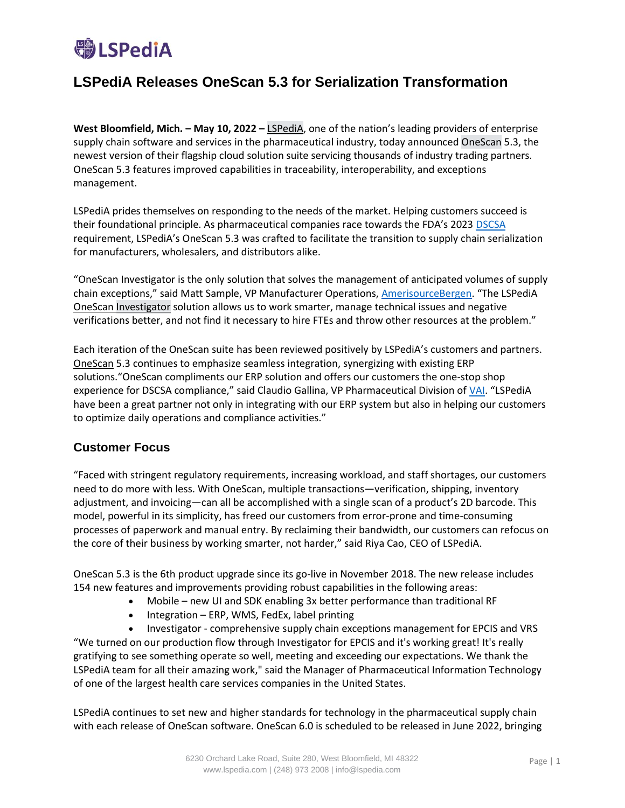

## **LSPediA Releases OneScan 5.3 for Serialization Transformation**

**West Bloomfield, Mich. – May 10, 2022 –** [LSPediA,](http://www.lspedia.com/) one of the nation's leading providers of enterprise supply chain software and services in the pharmaceutical industry, today announced [OneScan](https://www.lspedia.com/onescan/) 5.3, the newest version of their flagship cloud solution suite servicing thousands of industry trading partners. OneScan 5.3 features improved capabilities in traceability, interoperability, and exceptions management.

LSPediA prides themselves on responding to the needs of the market. Helping customers succeed is their foundational principle. As pharmaceutical companies race towards the FDA's 2023 [DSCSA](https://www.lspedia.com/dscsa101/) requirement, LSPediA's OneScan 5.3 was crafted to facilitate the transition to supply chain serialization for manufacturers, wholesalers, and distributors alike.

"OneScan Investigator is the only solution that solves the management of anticipated volumes of supply chain exceptions," said Matt Sample, VP Manufacturer Operations, [AmerisourceBergen.](https://www.lspedia.com/customer-highlights/amerisourcebergen/) "The LSPediA OneScan [Investigator](https://www.lspedia.com/investigator/) solution allows us to work smarter, manage technical issues and negative verifications better, and not find it necessary to hire FTEs and throw other resources at the problem."

Each iteration of the OneScan suite has been reviewed positively by LSPediA's customers and partners. OneScan 5.3 continues to emphasize seamless integration, synergizing with existing ERP solutions."OneScan compliments our ERP solution and offers our customers the one-stop shop experience for DSCSA compliance," said Claudio Gallina, VP Pharmaceutical Division of [VAI](https://www.lspedia.com/2022/03/18/vai-and-lspedia-present-dscsa-webinar-for-wholesalers-march-24/). "LSPediA have been a great partner not only in integrating with our ERP system but also in helping our customers to optimize daily operations and compliance activities."

## **Customer Focus**

"Faced with stringent regulatory requirements, increasing workload, and staff shortages, our customers need to do more with less. With OneScan, multiple transactions—verification, shipping, inventory adjustment, and invoicing—can all be accomplished with a single scan of a product's 2D barcode. This model, powerful in its simplicity, has freed our customers from error-prone and time-consuming processes of paperwork and manual entry. By reclaiming their bandwidth, our customers can refocus on the core of their business by working smarter, not harder," said Riya Cao, CEO of LSPediA.

OneScan 5.3 is the 6th product upgrade since its go-live in November 2018. The new release includes 154 new features and improvements providing robust capabilities in the following areas:

- Mobile new UI and SDK enabling 3x better performance than traditional RF
- Integration ERP, WMS, FedEx, label printing

• Investigator - comprehensive supply chain exceptions management for EPCIS and VRS "We turned on our production flow through Investigator for EPCIS and it's working great! It's really gratifying to see something operate so well, meeting and exceeding our expectations. We thank the LSPediA team for all their amazing work," said the Manager of Pharmaceutical Information Technology of one of the largest health care services companies in the United States.

LSPediA continues to set new and higher standards for technology in the pharmaceutical supply chain with each release of OneScan software. OneScan 6.0 is scheduled to be released in June 2022, bringing